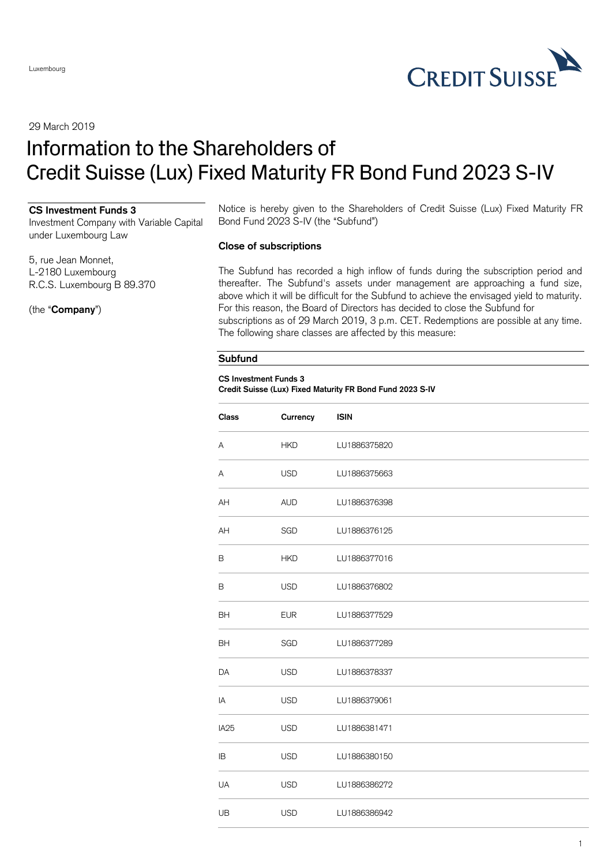

29 March 2019

# Information to the Shareholders of Credit Suisse (Lux) Fixed Maturity FR Bond Fund 2023 S-IV

### **CS Investment Funds 3**

Investment Company with Variable Capital under Luxembourg Law

5, rue Jean Monnet, L-2180 Luxembourg R.C.S. Luxembourg B 89.370

(the "**Company**")

Notice is hereby given to the Shareholders of Credit Suisse (Lux) Fixed Maturity FR Bond Fund 2023 S-IV (the "Subfund")

## **Close of subscriptions**

The Subfund has recorded a high inflow of funds during the subscription period and thereafter. The Subfund's assets under management are approaching a fund size, above which it will be difficult for the Subfund to achieve the envisaged yield to maturity. For this reason, the Board of Directors has decided to close the Subfund for subscriptions as of 29 March 2019, 3 p.m. CET. Redemptions are possible at any time. The following share classes are affected by this measure:

#### **Subfund**

#### **CS Investment Funds 3 Credit Suisse (Lux) Fixed Maturity FR Bond Fund 2023 S-IV**

| <b>Class</b>     | Currency   | <b>ISIN</b>  |
|------------------|------------|--------------|
| А                | <b>HKD</b> | LU1886375820 |
| А                | <b>USD</b> | LU1886375663 |
| AΗ               | <b>AUD</b> | LU1886376398 |
| AH               | SGD        | LU1886376125 |
| B                | <b>HKD</b> | LU1886377016 |
| В                | <b>USD</b> | LU1886376802 |
| BΗ               | <b>EUR</b> | LU1886377529 |
| BН               | SGD        | LU1886377289 |
| DA               | <b>USD</b> | LU1886378337 |
| ΙA               | <b>USD</b> | LU1886379061 |
| IA <sub>25</sub> | <b>USD</b> | LU1886381471 |
| ΙB               | <b>USD</b> | LU1886380150 |
| UA               | <b>USD</b> | LU1886386272 |
| UB               | <b>USD</b> | LU1886386942 |
|                  |            |              |